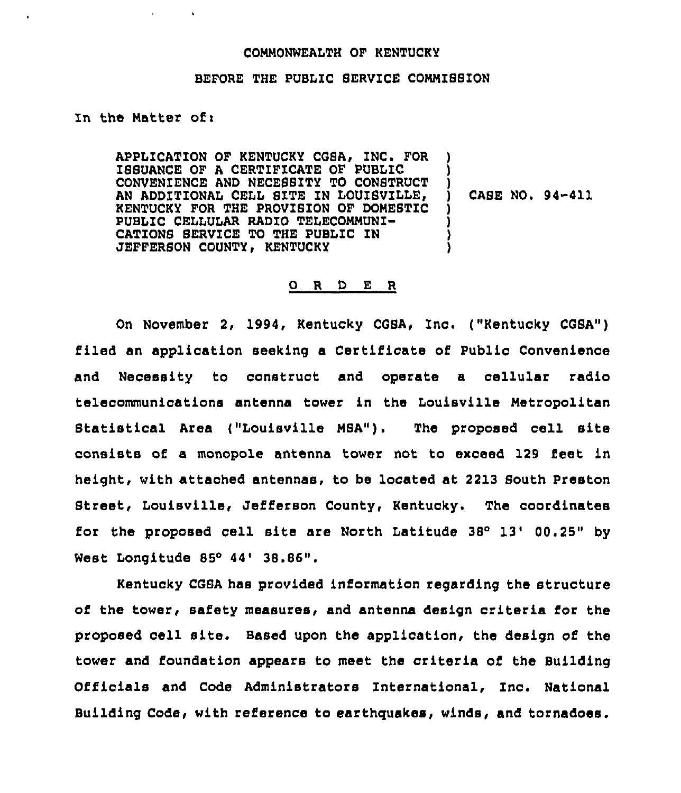## COMMONWEALTH OF KENTUCKY

## BEFORE THE PUBLIC SERVICE COMMISSION

## In the Matter ofi

APPLICATION OF KENTUCKY CGSA, INC. FOR IBSUANCE OF <sup>A</sup> CERTIFICATE OF PUBLIC ) CONVENIENCE AND NECE88ITY TO CONSTRUCT ) AN ADDITIONAL CELL SITE IN LOUISVILLE, KENTUCKY FOR THE PROVISION OF DOMESTIC ) PUBLIC CELLULAR RADIO TELECOMMUNI-CATIONS SERVICE TO THE PUBLIC IN JEFFERSON COUNTY, KENTUCKY

CASE NO. 94-411

## 0 <sup>R</sup> <sup>D</sup> E <sup>R</sup>

On November 2, 1994, Kentucky CGSA, Znc. ("Kentucky CGSA") filed an application seeking a Certificate of Public Convenience and Necessity to construct and operate a cellular radio telecommunications antenna tower in the Louisville Metropolitan Btatistical Area ("Louisville MBA"). The proposed cell site consists of a monopole antenna tower not to exceed 129 feet in height, with attached antennas, to be located at 2213 South Preston Btreet, Louisville, Jefferson County, Kentucky. The coordinates for the proposed cell site are North Latitude  $38^{\circ}$  13' 00.25" by West Longitude 85° 44' 38.86".

Kentucky CGSA has provided information regarding the structure of the tower, safety measures, and antenna design criteria for the proposed cell site. Based upon the application, the design of the tower and foundation appears to meet the criteria of the Building Officials and Code Administrators International, Znc. National Building Code, with reference to earthquakes, winds, and tornadoes.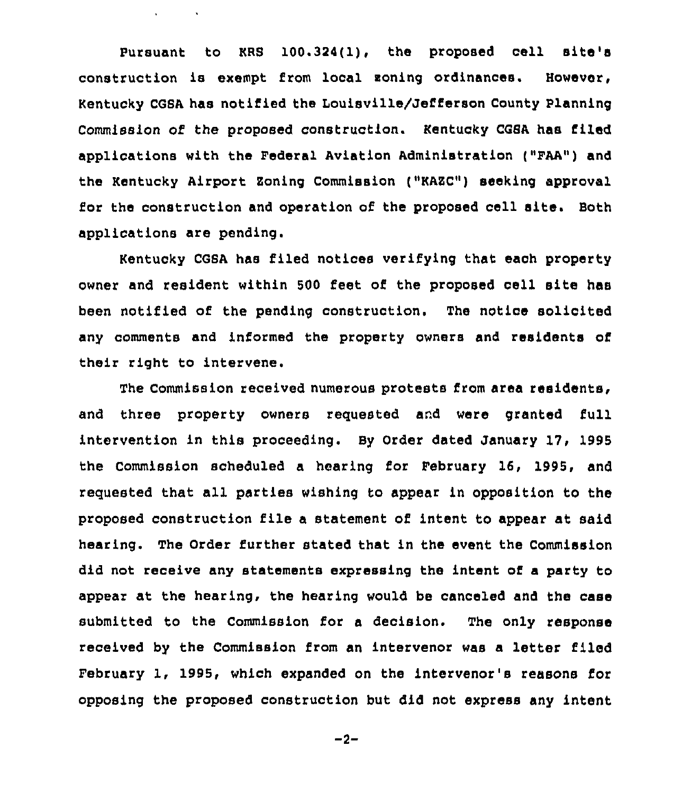Pursuant to KRS 100.324(1), the proposed cell site's construction is exempt from local soning ordinances. However, Kentucky CGSA has notified the Louisville/Jefferson County Planning Commission of the proposed construction. Kentucky CGSA has filed applications with the Federal Aviation Administration ("FAA") and the Kentucky Airport Zoning Commission ("KAZC") seeking approval for the construction and operation of the proposed cell site. Both applications are pending.

 $\sqrt{2}$  and  $\sqrt{2}$ 

Kentucky CGSA has filed notices verifying that each property owner and resident within 500 feet of the proposed cell site has been notified of the pending construction. The notice solicited any comments and informed the property owners and residents of their right to intervene.

The Commission received numerous protests from area residents, and three property owners reguested and were granted full intervention in this proceeding. By Order dated January 17, 1995 the Commission scheduled a hearing for February 16, 1995, and reguested that all parties wishing to appear in opposition to the proposed construction file <sup>a</sup> statement of intent to appear at said hearing. The Order further stated that in the event the Commission did not receive any statements expressing the intent of a party to appear at the hearing, the hearing would be canceled and the case submitted to the Commission for a decision. The only response received by the Commission from an intervenor was a letter filed February 1, 1995, which expanded on the intervenor's reasons for opposing the proposed construction but did not express any intent

 $-2-$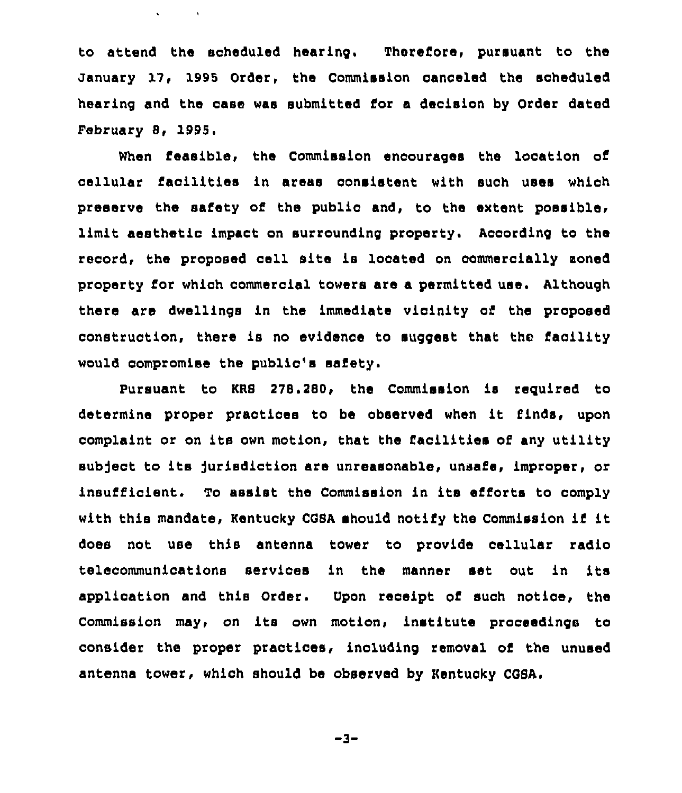to attend the scheduled hearing. Therefore, pursuant to the January 17, 1995 Order, the Commission oanceled the aoheduled hearing and the case was submitted for a decision by Order dated February 8, 1995

 $\mathbf{v} = \mathbf{v} \times \mathbf{v}$  .  $\mathbf{v} = \mathbf{v} \times \mathbf{v}$ 

When feasible, the Commission encourages the location of cellular facilities in areas oonsistent with such uses which preserve the safety of the public and, to the extent possible, limit aesthetic impact on surrounding property. According to the record, the proposed cell site is located on oommercially aoned property for which commercial towers are a permitted uae. Although there are dwellings in the immediate vicinity of the proposed construction, there is no evidence to suggest that the facility would compromise the public's safety.

Pursuant to KRS 278.280, the Commission is required to determine proper practices to be observed when it finds, upon complaint or on its own motion, that the facilities of any utility subject to its jurisdiction are unreasonable, unsafe, improper, or insufficient. To assist the Commission in its efforts to comply with this mandate, Kentucky COSA should notify the Commission if it does not use this antenna tower to provide cellular radio telecommunications services in the manner set out in its application and this Order. Upon receipt of such notice, the Commission may, on its own motion, institute proceedings to consider the proper practices, including removal of the unused antenna tower, which should be observed by Kentucky CGSA.

 $-3-$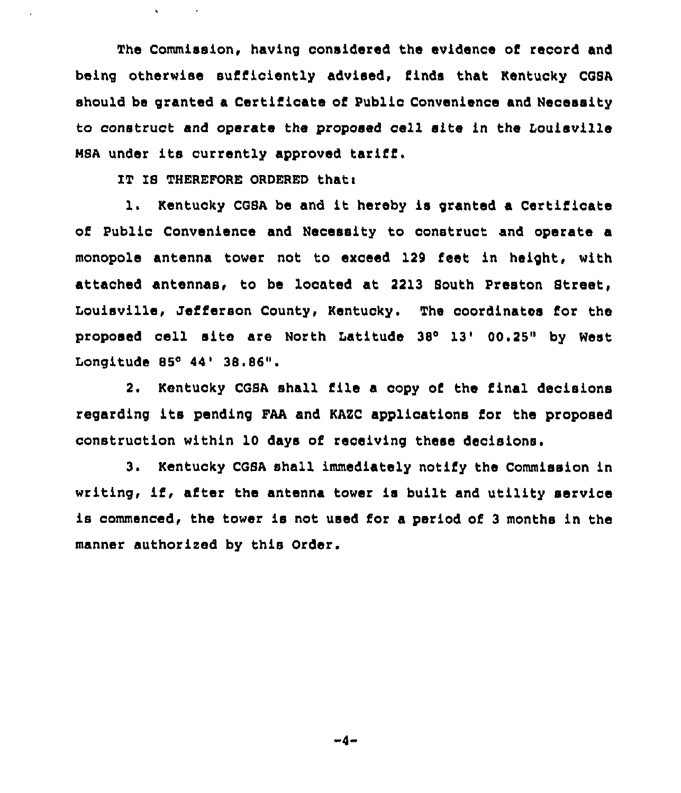The Commission. having considered the evidence of record and being otherwise sufficiently advised, finds that Kentucky CGSA should be granted a Certificate of Public Convenience and Necessity to construct and operate the proposed cell site in the Louisville NSA under its currently approved tariff.

IT IB THEREFORE ORDERED thati

1. Kentucky COSA be and it hereby is granted <sup>a</sup> Certificate of Public Convenience and Necessity to construct and operate a monopole antenna tower not to exceed 129 feet in height, with attached antennas, to be located at 2213 South Preston Street, Louisville, Jefferson County, Kentucky. The coordinates for the proposed cell site are North Latitude 38'3'0.25" by West Longitude 85° 44' 38.86".

2. Kentucky CGSA shall file a copy of the final decisions regarding its pending FAA and KAZC applications for the proposed construction within 10 days of receiving these decisions,

3. Kentucky CGBA shall immediately notify the Commission in writing, if, after the antenna tower is built and utility service is commenced, the tower is not used for a period of <sup>3</sup> months in the manner authorised by this Order.

 $-4-$